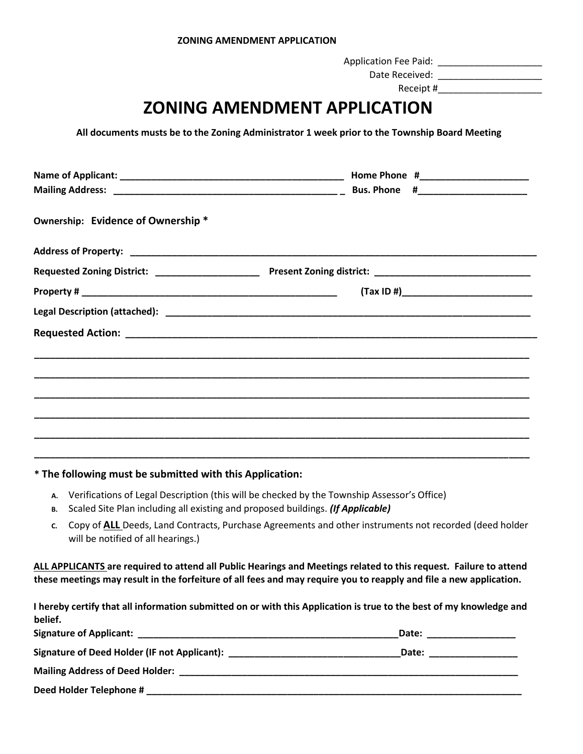Application Fee Paid: \_\_\_\_\_\_\_\_\_\_\_\_\_\_\_\_\_\_\_\_

 Date Received: \_\_\_\_\_\_\_\_\_\_\_\_\_\_\_\_\_\_\_\_ Receipt #

## **ZONING AMENDMENT APPLICATION**

**All documents musts be to the Zoning Administrator 1 week prior to the Township Board Meeting**

| Ownership: Evidence of Ownership * |  |
|------------------------------------|--|
|                                    |  |
|                                    |  |
|                                    |  |
|                                    |  |
|                                    |  |
|                                    |  |
|                                    |  |
|                                    |  |
|                                    |  |
|                                    |  |
|                                    |  |

## **\* The following must be submitted with this Application:**

- **A.** Verifications of Legal Description (this will be checked by the Township Assessor's Office)
- **B.** Scaled Site Plan including all existing and proposed buildings. *(If Applicable)*
- **C.** Copy of **ALL** Deeds, Land Contracts, Purchase Agreements and other instruments not recorded (deed holder will be notified of all hearings.)

**ALL APPLICANTS are required to attend all Public Hearings and Meetings related to this request. Failure to attend these meetings may result in the forfeiture of all fees and may require you to reapply and file a new application.** 

| I hereby certify that all information submitted on or with this Application is true to the best of my knowledge and |                                                                                                                                                                                                                                |
|---------------------------------------------------------------------------------------------------------------------|--------------------------------------------------------------------------------------------------------------------------------------------------------------------------------------------------------------------------------|
| belief.                                                                                                             |                                                                                                                                                                                                                                |
|                                                                                                                     | Date: ___________________                                                                                                                                                                                                      |
| Signature of Deed Holder (IF not Applicant): Network and the set of the set of the set of the set of the set o      | Date: the contract of the contract of the contract of the contract of the contract of the contract of the contract of the contract of the contract of the contract of the contract of the contract of the contract of the cont |
|                                                                                                                     |                                                                                                                                                                                                                                |
| Deed Holder Telephone #                                                                                             |                                                                                                                                                                                                                                |